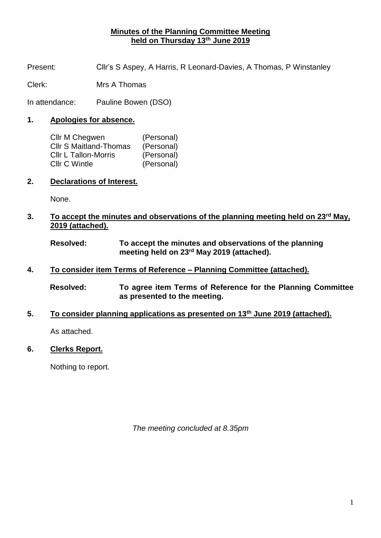## **Minutes of the Planning Committee Meeting held on Thursday 13th June 2019**

Present: Cllr's S Aspey, A Harris, R Leonard-Davies, A Thomas, P Winstanley

Clerk: Mrs A Thomas

In attendance: Pauline Bowen (DSO)

## **1. Apologies for absence.**

| Cllr M Chegwen                | (Personal) |
|-------------------------------|------------|
| <b>CIIr S Maitland-Thomas</b> | (Personal) |
| Cllr L Tallon-Morris          | (Personal) |
| <b>Cllr C Wintle</b>          | (Personal) |

**2. Declarations of Interest.**

None.

**3. To accept the minutes and observations of the planning meeting held on 23rd May, 2019 (attached).**

**Resolved: To accept the minutes and observations of the planning meeting held on 23rd May 2019 (attached).**

- **4. To consider item Terms of Reference – Planning Committee (attached).**
	- **Resolved: To agree item Terms of Reference for the Planning Committee as presented to the meeting.**
- **5. To consider planning applications as presented on 13th June 2019 (attached).**

As attached.

**6. Clerks Report.**

Nothing to report.

*The meeting concluded at 8.35pm*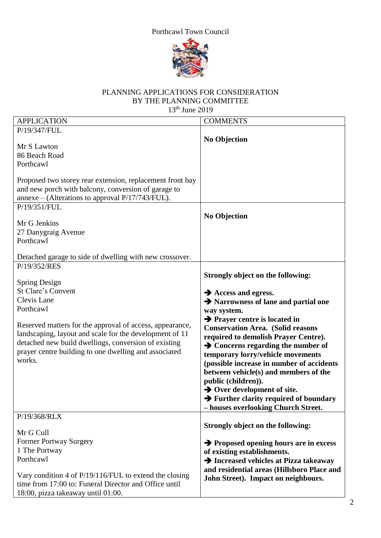## Porthcawl Town Council



## PLANNING APPLICATIONS FOR CONSIDERATION BY THE PLANNING COMMITTEE 13th June 2019

| <b>APPLICATION</b>                                                                                                                                                                                                                                                                                                                       | <b>COMMENTS</b>                                                                                                                                                                                                                                                                                                                                                                                                                                                                                                                                                                                           |
|------------------------------------------------------------------------------------------------------------------------------------------------------------------------------------------------------------------------------------------------------------------------------------------------------------------------------------------|-----------------------------------------------------------------------------------------------------------------------------------------------------------------------------------------------------------------------------------------------------------------------------------------------------------------------------------------------------------------------------------------------------------------------------------------------------------------------------------------------------------------------------------------------------------------------------------------------------------|
| P/19/347/FUL                                                                                                                                                                                                                                                                                                                             |                                                                                                                                                                                                                                                                                                                                                                                                                                                                                                                                                                                                           |
| Mr S Lawton<br>86 Beach Road<br>Porthcawl<br>Proposed two storey rear extension, replacement front bay<br>and new porch with balcony, conversion of garage to<br>annexe - (Alterations to approval P/17/743/FUL).<br>P/19/351/FUL<br>Mr G Jenkins<br>27 Danygraig Avenue<br>Porthcawl                                                    | <b>No Objection</b><br><b>No Objection</b>                                                                                                                                                                                                                                                                                                                                                                                                                                                                                                                                                                |
| Detached garage to side of dwelling with new crossover.                                                                                                                                                                                                                                                                                  |                                                                                                                                                                                                                                                                                                                                                                                                                                                                                                                                                                                                           |
| P/19/352/RES<br>Spring Design<br><b>St Clare's Convent</b><br>Clevis Lane<br>Porthcawl<br>Reserved matters for the approval of access, appearance,<br>landscaping, layout and scale for the development of 11<br>detached new build dwellings, conversion of existing<br>prayer centre building to one dwelling and associated<br>works. | Strongly object on the following:<br>$\rightarrow$ Access and egress.<br>→ Narrowness of lane and partial one<br>way system.<br>$\rightarrow$ Prayer centre is located in<br><b>Conservation Area.</b> (Solid reasons<br>required to demolish Prayer Centre).<br>$\rightarrow$ Concerns regarding the number of<br>temporary lorry/vehicle movements<br>(possible increase in number of accidents<br>between vehicle(s) and members of the<br>public (children)).<br>$\rightarrow$ Over development of site.<br>$\rightarrow$ Further clarity required of boundary<br>- houses overlooking Church Street. |
| P/19/368/RLX<br>Mr G Cull<br><b>Former Portway Surgery</b><br>1 The Portway<br>Porthcawl<br>Vary condition 4 of P/19/116/FUL to extend the closing<br>time from 17:00 to: Funeral Director and Office until<br>18:00, pizza takeaway until 01:00.                                                                                        | Strongly object on the following:<br>$\rightarrow$ Proposed opening hours are in excess<br>of existing establishments.<br>Increased vehicles at Pizza takeaway<br>and residential areas (Hillsboro Place and<br>John Street). Impact on neighbours.                                                                                                                                                                                                                                                                                                                                                       |